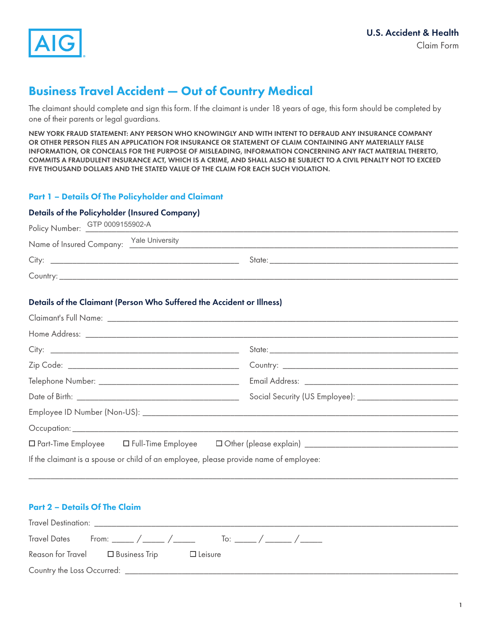

# Business Travel Accident — Out of Country Medical

The claimant should complete and sign this form. If the claimant is under 18 years of age, this form should be completed by one of their parents or legal guardians.

NEW YORK FRAUD STATEMENT: ANY PERSON WHO KNOWINGLY AND WITH INTENT TO DEFRAUD ANY INSURANCE COMPANY OR OTHER PERSON FILES AN APPLICATION FOR INSURANCE OR STATEMENT OF CLAIM CONTAINING ANY MATERIALLY FALSE INFORMATION, OR CONCEALS FOR THE PURPOSE OF MISLEADING, INFORMATION CONCERNING ANY FACT MATERIAL THERETO, COMMITS A FRAUDULENT INSURANCE ACT, WHICH IS A CRIME, AND SHALL ALSO BE SUBJECT TO A CIVIL PENALTY NOT TO EXCEED FIVE THOUSAND DOLLARS AND THE STATED VALUE OF THE CLAIM FOR EACH SUCH VIOLATION.

# Part 1 – Details Of The Policyholder and Claimant

### Details of the Policyholder (Insured Company)

| Policy Number: GTP 0009155902-A                                                                                                                                                                                                |  |
|--------------------------------------------------------------------------------------------------------------------------------------------------------------------------------------------------------------------------------|--|
| Name of Insured Company: Yale University<br>Manne of Insured Company: \[ \]                                                                                                                                                    |  |
| State: the contract of the contract of the contract of the contract of the contract of the contract of the contract of the contract of the contract of the contract of the contract of the contract of the contract of the con |  |
|                                                                                                                                                                                                                                |  |

# Details of the Claimant (Person Who Suffered the Accident or Illness)

| If the claimant is a spouse or child of an employee, please provide name of employee: |  |
|---------------------------------------------------------------------------------------|--|

### Part 2 – Details Of The Claim

|                            |                                        |                | Travel Dates From: _____ / _____ / _____ To: _____ / _____ / ______ |  |
|----------------------------|----------------------------------------|----------------|---------------------------------------------------------------------|--|
|                            | Reason for Travel $\Box$ Business Trip | $\Box$ Leisure |                                                                     |  |
| Country the Loss Occurred: |                                        |                |                                                                     |  |

\_\_\_\_\_\_\_\_\_\_\_\_\_\_\_\_\_\_\_\_\_\_\_\_\_\_\_\_\_\_\_\_\_\_\_\_\_\_\_\_\_\_\_\_\_\_\_\_\_\_\_\_\_\_\_\_\_\_\_\_\_\_\_\_\_\_\_\_\_\_\_\_\_\_\_\_\_\_\_\_\_\_\_\_\_\_\_\_\_\_\_\_\_\_\_\_\_\_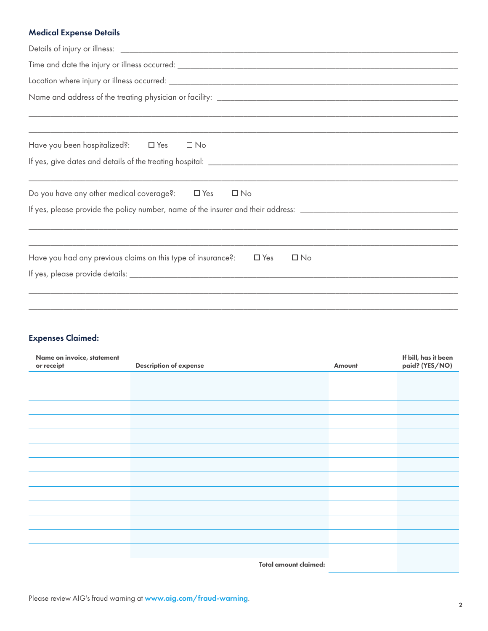# Medical Expense Details

| Have you been hospitalized?: <b>I</b> Yes <b>I</b> No                                   |
|-----------------------------------------------------------------------------------------|
|                                                                                         |
| Do you have any other medical coverage?: $\Box$ Yes $\Box$ No                           |
|                                                                                         |
|                                                                                         |
| Have you had any previous claims on this type of insurance?:<br>$\Box$ Yes<br>$\Box$ No |
|                                                                                         |
|                                                                                         |
|                                                                                         |

# Expenses Claimed:

| Name on invoice, statement<br>or receipt | <b>Description of expense</b> | Amount | If bill, has it been<br>paid? (YES/NO) |
|------------------------------------------|-------------------------------|--------|----------------------------------------|
|                                          |                               |        |                                        |
|                                          |                               |        |                                        |
|                                          |                               |        |                                        |
|                                          |                               |        |                                        |
|                                          |                               |        |                                        |
|                                          |                               |        |                                        |
|                                          |                               |        |                                        |
|                                          |                               |        |                                        |
|                                          |                               |        |                                        |
|                                          |                               |        |                                        |
|                                          |                               |        |                                        |
|                                          |                               |        |                                        |
|                                          |                               |        |                                        |
|                                          | Total amount claimed:         |        |                                        |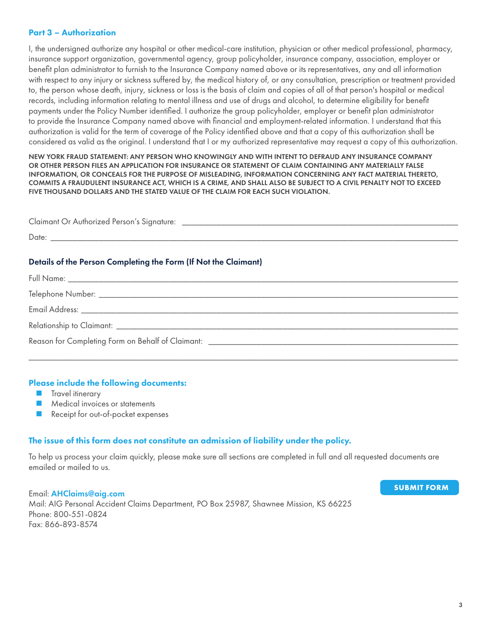### Part 3 – Authorization

I, the undersigned authorize any hospital or other medical-care institution, physician or other medical professional, pharmacy, insurance support organization, governmental agency, group policyholder, insurance company, association, employer or benefit plan administrator to furnish to the Insurance Company named above or its representatives, any and all information with respect to any injury or sickness suffered by, the medical history of, or any consultation, prescription or treatment provided to, the person whose death, injury, sickness or loss is the basis of claim and copies of all of that person's hospital or medical records, including information relating to mental illness and use of drugs and alcohol, to determine eligibility for benefit payments under the Policy Number identified. I authorize the group policyholder, employer or benefit plan administrator to provide the Insurance Company named above with financial and employment-related information. I understand that this authorization is valid for the term of coverage of the Policy identified above and that a copy of this authorization shall be considered as valid as the original. I understand that I or my authorized representative may request a copy of this authorization.

NEW YORK FRAUD STATEMENT: ANY PERSON WHO KNOWINGLY AND WITH INTENT TO DEFRAUD ANY INSURANCE COMPANY OR OTHER PERSON FILES AN APPLICATION FOR INSURANCE OR STATEMENT OF CLAIM CONTAINING ANY MATERIALLY FALSE INFORMATION, OR CONCEALS FOR THE PURPOSE OF MISLEADING, INFORMATION CONCERNING ANY FACT MATERIAL THERETO, COMMITS A FRAUDULENT INSURANCE ACT, WHICH IS A CRIME, AND SHALL ALSO BE SUBJECT TO A CIVIL PENALTY NOT TO EXCEED FIVE THOUSAND DOLLARS AND THE STATED VALUE OF THE CLAIM FOR EACH SUCH VIOLATION.

| Claimant Or Authorized Person's Signature:                                                                                      |  |
|---------------------------------------------------------------------------------------------------------------------------------|--|
| Date:                                                                                                                           |  |
| the contract of the contract of the contract of the contract of the contract of the contract of the contract of<br>.<br>_______ |  |

### Details of the Person Completing the Form (If Not the Claimant)

| Reason for Completing Form on Behalf of Claimant: _______________________________ |
|-----------------------------------------------------------------------------------|

\_\_\_\_\_\_\_\_\_\_\_\_\_\_\_\_\_\_\_\_\_\_\_\_\_\_\_\_\_\_\_\_\_\_\_\_\_\_\_\_\_\_\_\_\_\_\_\_\_\_\_\_\_\_\_\_\_\_\_\_\_\_\_\_\_\_\_\_\_\_\_\_\_\_\_\_\_\_\_\_\_\_\_\_\_\_\_\_\_\_\_\_\_\_\_\_\_\_

#### Please include the following documents:

- Travel itinerary
- Medical invoices or statements
- Receipt for out-of-pocket expenses

# The issue of this form does not constitute an admission of liability under the policy.

To help us process your claim quickly, please make sure all sections are completed in full and all requested documents are emailed or mailed to us.

Email: [AHClaims@aig.com](mailto:AHClaims%40aig.com?subject=) Mail: AIG Personal Accident Claims Department, PO Box 25987, Shawnee Mission, KS 66225 Phone: 800-551-0824 Fax: 866-893-8574

**SUBMIT FORM**